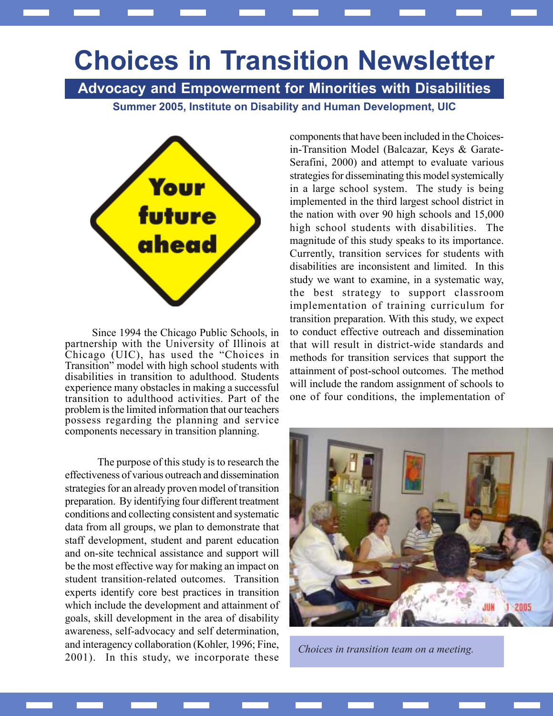## Choices in Transition Newsletter

Summer 2005, Institute on Disability and Human Development, UIC Advocacy and Empowerment for Minorities with Disabilities



Since 1994 the Chicago Public Schools, in partnership with the University of Illinois at Chicago (UIC), has used the "Choices in Transition" model with high school students with disabilities in transition to adulthood. Students experience many obstacles in making a successful transition to adulthood activities. Part of the problem is the limited information that our teachers possess regarding the planning and service components necessary in transition planning.

The purpose of this study is to research the effectiveness of various outreach and dissemination strategies for an already proven model of transition preparation. By identifying four different treatment conditions and collecting consistent and systematic data from all groups, we plan to demonstrate that staff development, student and parent education and on-site technical assistance and support will be the most effective way for making an impact on student transition-related outcomes. Transition experts identify core best practices in transition which include the development and attainment of goals, skill development in the area of disability awareness, self-advocacy and self determination, and interagency collaboration (Kohler, 1996; Fine, 2001). In this study, we incorporate these components that have been included in the Choicesin-Transition Model (Balcazar, Keys & Garate-Serafini, 2000) and attempt to evaluate various strategies for disseminating this model systemically in a large school system. The study is being implemented in the third largest school district in the nation with over 90 high schools and 15,000 high school students with disabilities. The magnitude of this study speaks to its importance. Currently, transition services for students with disabilities are inconsistent and limited. In this study we want to examine, in a systematic way, the best strategy to support classroom implementation of training curriculum for transition preparation. With this study, we expect to conduct effective outreach and dissemination that will result in district-wide standards and methods for transition services that support the attainment of post-school outcomes. The method will include the random assignment of schools to one of four conditions, the implementation of



Choices in transition team on a meeting.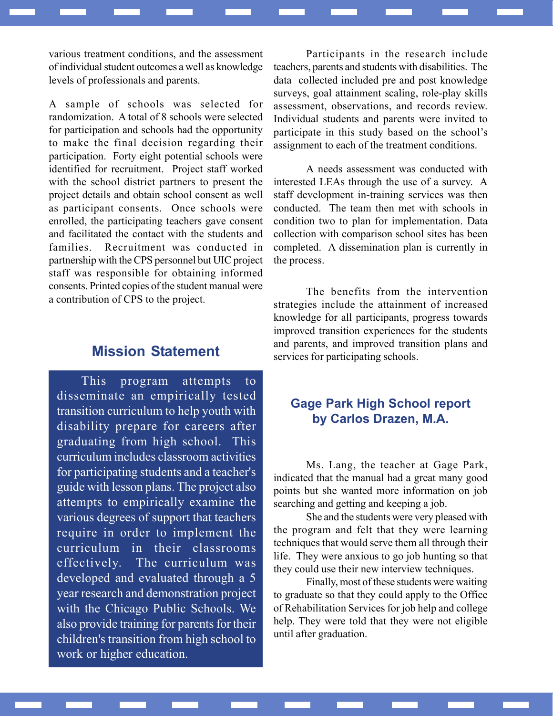various treatment conditions, and the assessment of individual student outcomes a well as knowledge levels of professionals and parents.

A sample of schools was selected for randomization. A total of 8 schools were selected for participation and schools had the opportunity to make the final decision regarding their participation. Forty eight potential schools were identified for recruitment. Project staff worked with the school district partners to present the project details and obtain school consent as well as participant consents. Once schools were enrolled, the participating teachers gave consent and facilitated the contact with the students and families. Recruitment was conducted in partnership with the CPS personnel but UIC project staff was responsible for obtaining informed consents. Printed copies of the student manual were a contribution of CPS to the project.

## Mission Statement

This program attempts to disseminate an empirically tested transition curriculum to help youth with disability prepare for careers after graduating from high school. This curriculum includes classroom activities for participating students and a teacher's guide with lesson plans. The project also attempts to empirically examine the various degrees of support that teachers require in order to implement the curriculum in their classrooms effectively. The curriculum was developed and evaluated through a 5 year research and demonstration project with the Chicago Public Schools. We also provide training for parents for their children's transition from high school to work or higher education.

Participants in the research include teachers, parents and students with disabilities. The data collected included pre and post knowledge surveys, goal attainment scaling, role-play skills assessment, observations, and records review. Individual students and parents were invited to participate in this study based on the school's assignment to each of the treatment conditions.

A needs assessment was conducted with interested LEAs through the use of a survey. A staff development in-training services was then conducted. The team then met with schools in condition two to plan for implementation. Data collection with comparison school sites has been completed. A dissemination plan is currently in the process.

The benefits from the intervention strategies include the attainment of increased knowledge for all participants, progress towards improved transition experiences for the students and parents, and improved transition plans and services for participating schools.

## Gage Park High School report by Carlos Drazen, M.A.

Ms. Lang, the teacher at Gage Park, indicated that the manual had a great many good points but she wanted more information on job searching and getting and keeping a job.

She and the students were very pleased with the program and felt that they were learning techniques that would serve them all through their life. They were anxious to go job hunting so that they could use their new interview techniques.

Finally, most of these students were waiting to graduate so that they could apply to the Office of Rehabilitation Services for job help and college help. They were told that they were not eligible until after graduation.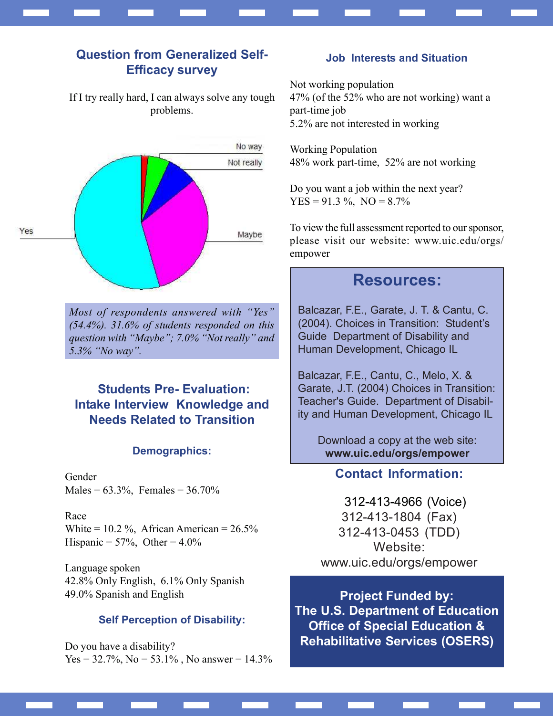## Question from Generalized Self-Efficacy survey

If I try really hard, I can always solve any tough problems.



Most of respondents answered with "Yes" (54.4%). 31.6% of students responded on this question with "Maybe"; 7.0% "Not really" and 5.3% "No way".

## Students Pre- Evaluation: Intake Interview Knowledge and Needs Related to Transition

#### Demographics:

Gender Males =  $63.3\%$ , Females =  $36.70\%$ 

Race White =  $10.2\%$ , African American =  $26.5\%$ Hispanic =  $57\%$ , Other =  $4.0\%$ 

Language spoken 42.8% Only English, 6.1% Only Spanish 49.0% Spanish and English

#### Self Perception of Disability:

Do you have a disability?  $Yes = 32.7\%, No = 53.1\%$ , No answer = 14.3%

#### Job Interests and Situation

Not working population 47% (of the 52% who are not working) want a part-time job 5.2% are not interested in working

Working Population 48% work part-time, 52% are not working

Do you want a job within the next year?  $YES = 91.3 %$ ,  $NO = 8.7%$ 

To view the full assessment reported to our sponsor, please visit our website: www.uic.edu/orgs/ empower

## Resources:

Balcazar, F.E., Garate, J. T. & Cantu, C. (2004). Choices in Transition: Student's Guide Department of Disability and Human Development, Chicago IL

Balcazar, F.E., Cantu, C., Melo, X. & Garate, J.T. (2004) Choices in Transition: Teacher's Guide. Department of Disability and Human Development, Chicago IL

> Download a copy at the web site: www.uic.edu/orgs/empower

### Contact Information:

 312-413-4966 (Voice) 312-413-1804 (Fax) 312-413-0453 (TDD) Website: www.uic.edu/orgs/empower

Project Funded by: The U.S. Department of Education Office of Special Education & Rehabilitative Services (OSERS)